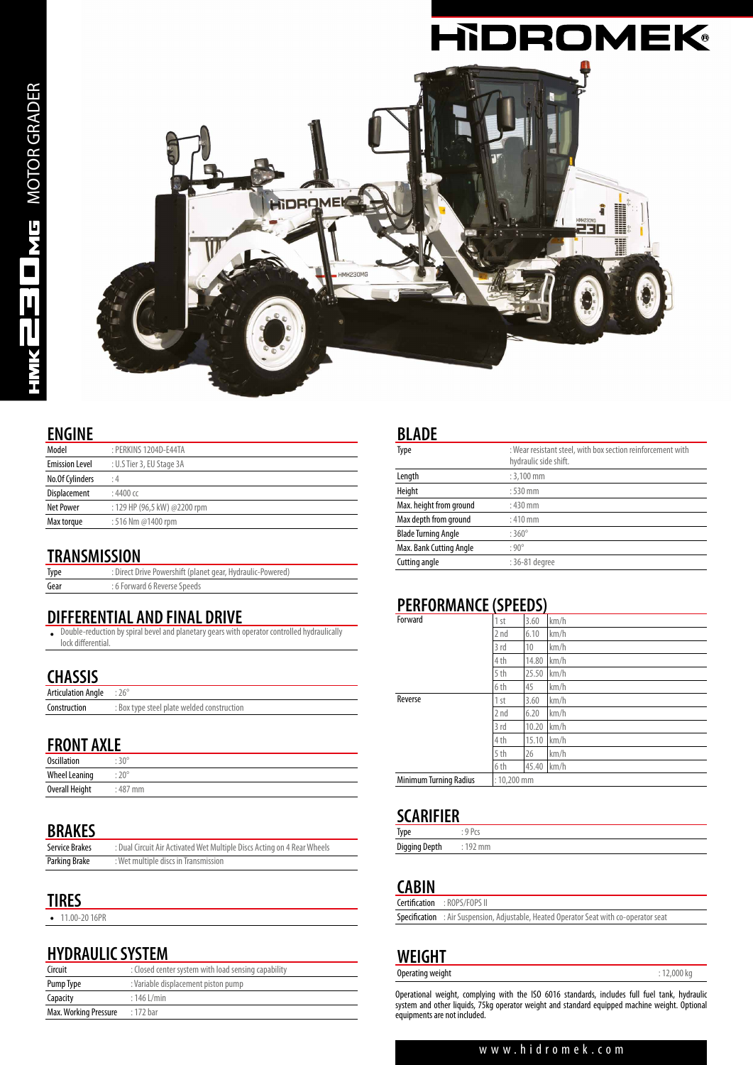

#### **ENGINE**

| Model                 | : PERKINS 1204D-E44TA        |
|-----------------------|------------------------------|
| <b>Emission Level</b> | : U.S Tier 3, EU Stage 3A    |
| No.Of Cylinders       | : 4                          |
| Displacement          | $:4400$ cc                   |
| <b>Net Power</b>      | : 129 HP (96,5 kW) @2200 rpm |
| Max torque            | : 516 Nm @1400 rpm           |
|                       |                              |

#### **TRANSMISSION**

| Type | : Direct Drive Powershift (planet gear, Hydraulic-Powered) |
|------|------------------------------------------------------------|
| Gear | : 6 Forward 6 Reverse Speeds                               |

#### **DIFFERENTIAL AND FINAL DRIVE**

• Double-reduction by spiral bevel and planetary gears with operator controlled hydraulically lock differential.

#### **CHASSIS**

| Articulation Angle : 26° |                                            |
|--------------------------|--------------------------------------------|
| Construction             | : Box type steel plate welded construction |

#### **FRONT AXLE**

| <b>Oscillation</b>   | $30^{\circ}$ |
|----------------------|--------------|
| <b>Wheel Leaning</b> | $20^{\circ}$ |
| Overall Height       | $:487$ mm    |

#### **BRAKES**

| <b>Service Brakes</b> | : Dual Circuit Air Activated Wet Multiple Discs Acting on 4 Rear Wheels |
|-----------------------|-------------------------------------------------------------------------|
| Parking Brake         | : Wet multiple discs in Transmission                                    |

#### **TIRES**

• 11.00-20 16PR

#### **HYDRAULIC SYSTEM**

| Circuit               | : Closed center system with load sensing capability |  |  |
|-----------------------|-----------------------------------------------------|--|--|
| Pump Type             | : Variable displacement piston pump                 |  |  |
| Capacity              | $:146$ L/min                                        |  |  |
| Max. Working Pressure | : 172 bar                                           |  |  |

#### **BLADE**

| Type                       | : Wear resistant steel, with box section reinforcement with<br>hydraulic side shift. |
|----------------------------|--------------------------------------------------------------------------------------|
| Length                     | $: 3.100$ mm                                                                         |
| Height                     | $:530$ mm                                                                            |
| Max. height from ground    | $:430$ mm                                                                            |
| Max depth from ground      | $:410$ mm                                                                            |
| <b>Blade Turning Angle</b> | $:360^{\circ}$                                                                       |
| Max. Bank Cutting Angle    | $:90^\circ$                                                                          |
| Cutting angle              | : 36-81 degree                                                                       |

#### **PERFORMANCE (SPEEDS)**

| Forward                | 1 <sub>st</sub> | 3.60  | km/h |
|------------------------|-----------------|-------|------|
|                        | 2 nd            | 6.10  | km/h |
|                        | 3 rd            | 10    | km/h |
|                        | 4 th            | 14.80 | km/h |
|                        | 5th             | 25.50 | km/h |
|                        | 6th             | 45    | km/h |
| Reverse                | 1 <sub>st</sub> | 3.60  | km/h |
|                        | 2 nd            | 6.20  | km/h |
|                        | 3rd             | 10.20 | km/h |
|                        | 4 th            | 15.10 | km/h |
|                        | 5th             | 26    | km/h |
|                        | 6 th            | 45.40 | km/h |
| Minimum Turning Radius | $: 10.200$ mm   |       |      |

#### **SCARIFIER**

| Type          | $D_{C}$ |
|---------------|---------|
| Digging Depth | mm      |

#### **CABIN**

| <b>Certification</b> : ROPS/FOPS II                                                           |
|-----------------------------------------------------------------------------------------------|
| <b>Specification</b> : Air Suspension, Adjustable, Heated Operator Seat with co-operator seat |

#### **WEIGHT** Operating weight

Operational weight, complying with the ISO 6016 standards, includes full fuel tank, hydraulic system and other liquids, 75kg operator weight and standard equipped machine weight. Optional equipments are not included.

#### www.hidromek.com